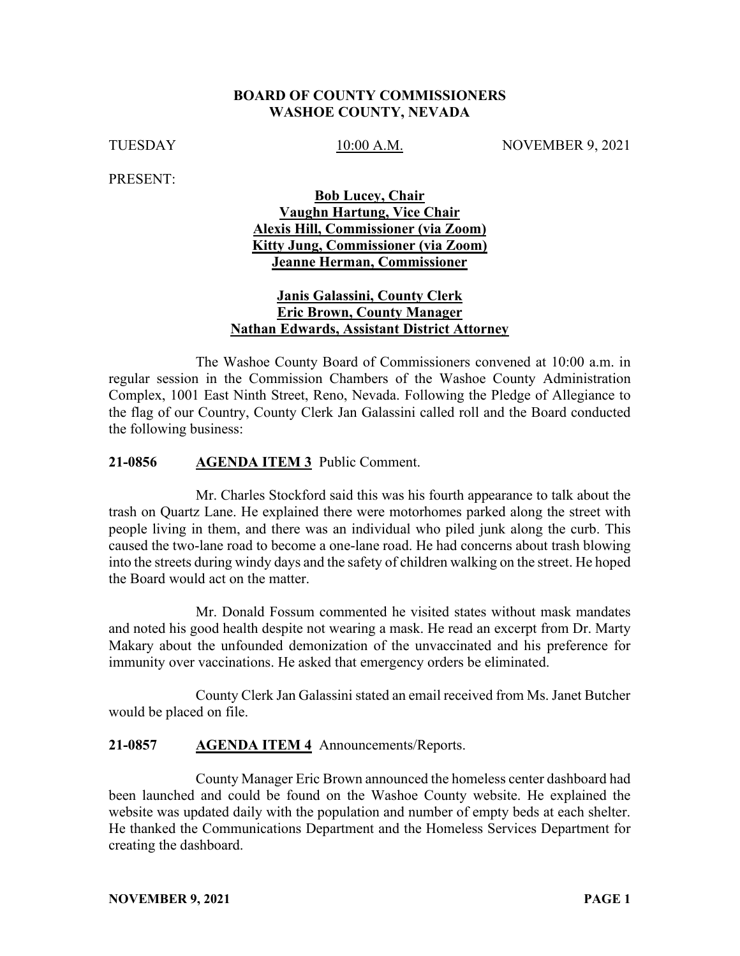#### **BOARD OF COUNTY COMMISSIONERS WASHOE COUNTY, NEVADA**

TUESDAY 10:00 A.M. NOVEMBER 9, 2021

PRESENT:

### **Bob Lucey, Chair Vaughn Hartung, Vice Chair Alexis Hill, Commissioner (via Zoom) Kitty Jung, Commissioner (via Zoom) Jeanne Herman, Commissioner**

### **Janis Galassini, County Clerk Eric Brown, County Manager Nathan Edwards, Assistant District Attorney**

The Washoe County Board of Commissioners convened at 10:00 a.m. in regular session in the Commission Chambers of the Washoe County Administration Complex, 1001 East Ninth Street, Reno, Nevada. Following the Pledge of Allegiance to the flag of our Country, County Clerk Jan Galassini called roll and the Board conducted the following business:

#### **21-0856 AGENDA ITEM 3** Public Comment.

Mr. Charles Stockford said this was his fourth appearance to talk about the trash on Quartz Lane. He explained there were motorhomes parked along the street with people living in them, and there was an individual who piled junk along the curb. This caused the two-lane road to become a one-lane road. He had concerns about trash blowing into the streets during windy days and the safety of children walking on the street. He hoped the Board would act on the matter.

Mr. Donald Fossum commented he visited states without mask mandates and noted his good health despite not wearing a mask. He read an excerpt from Dr. Marty Makary about the unfounded demonization of the unvaccinated and his preference for immunity over vaccinations. He asked that emergency orders be eliminated.

County Clerk Jan Galassini stated an email received from Ms. Janet Butcher would be placed on file.

### **21-0857 AGENDA ITEM 4** Announcements/Reports.

County Manager Eric Brown announced the homeless center dashboard had been launched and could be found on the Washoe County website. He explained the website was updated daily with the population and number of empty beds at each shelter. He thanked the Communications Department and the Homeless Services Department for creating the dashboard.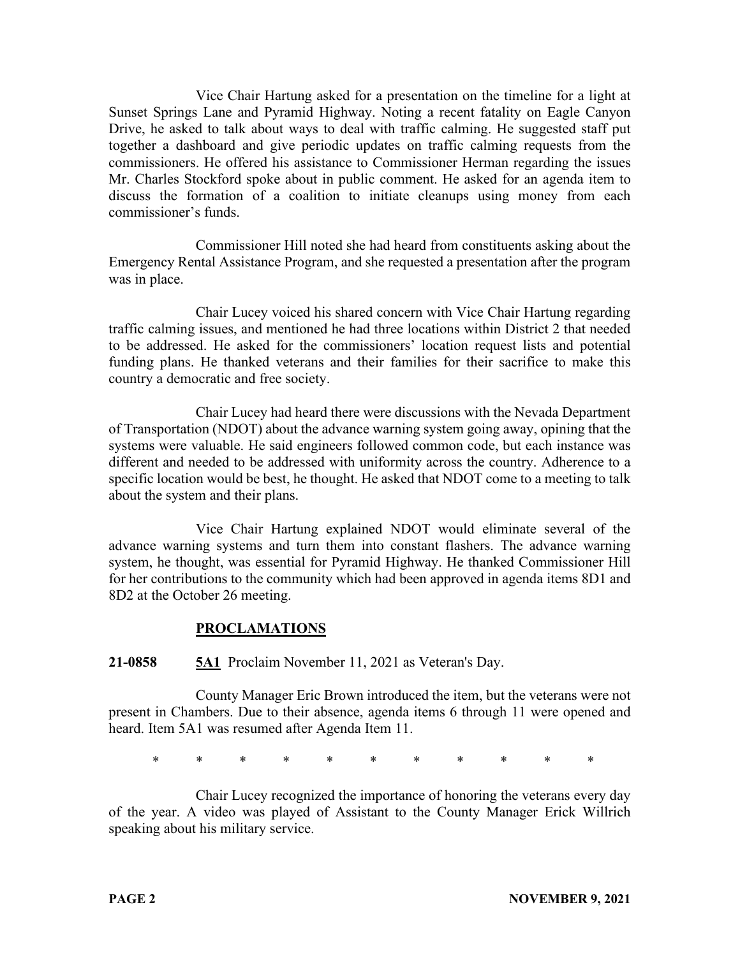Vice Chair Hartung asked for a presentation on the timeline for a light at Sunset Springs Lane and Pyramid Highway. Noting a recent fatality on Eagle Canyon Drive, he asked to talk about ways to deal with traffic calming. He suggested staff put together a dashboard and give periodic updates on traffic calming requests from the commissioners. He offered his assistance to Commissioner Herman regarding the issues Mr. Charles Stockford spoke about in public comment. He asked for an agenda item to discuss the formation of a coalition to initiate cleanups using money from each commissioner's funds.

Commissioner Hill noted she had heard from constituents asking about the Emergency Rental Assistance Program, and she requested a presentation after the program was in place.

Chair Lucey voiced his shared concern with Vice Chair Hartung regarding traffic calming issues, and mentioned he had three locations within District 2 that needed to be addressed. He asked for the commissioners' location request lists and potential funding plans. He thanked veterans and their families for their sacrifice to make this country a democratic and free society.

Chair Lucey had heard there were discussions with the Nevada Department of Transportation (NDOT) about the advance warning system going away, opining that the systems were valuable. He said engineers followed common code, but each instance was different and needed to be addressed with uniformity across the country. Adherence to a specific location would be best, he thought. He asked that NDOT come to a meeting to talk about the system and their plans.

Vice Chair Hartung explained NDOT would eliminate several of the advance warning systems and turn them into constant flashers. The advance warning system, he thought, was essential for Pyramid Highway. He thanked Commissioner Hill for her contributions to the community which had been approved in agenda items 8D1 and 8D2 at the October 26 meeting.

# **PROCLAMATIONS**

**21-0858 5A1** Proclaim November 11, 2021 as Veteran's Day.

County Manager Eric Brown introduced the item, but the veterans were not present in Chambers. Due to their absence, agenda items 6 through 11 were opened and heard. Item 5A1 was resumed after Agenda Item 11.

\* \* \* \* \* \* \* \* \* \* \*

Chair Lucey recognized the importance of honoring the veterans every day of the year. A video was played of Assistant to the County Manager Erick Willrich speaking about his military service.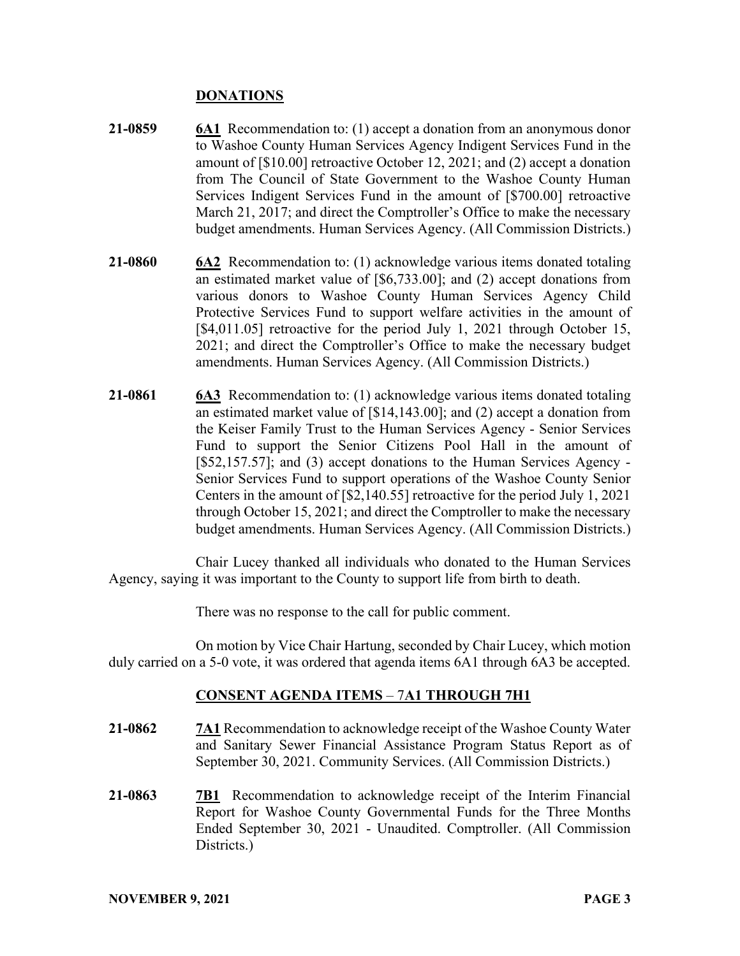### **DONATIONS**

- **21-0859 6A1** Recommendation to: (1) accept a donation from an anonymous donor to Washoe County Human Services Agency Indigent Services Fund in the amount of [\$10.00] retroactive October 12, 2021; and (2) accept a donation from The Council of State Government to the Washoe County Human Services Indigent Services Fund in the amount of [\$700.00] retroactive March 21, 2017; and direct the Comptroller's Office to make the necessary budget amendments. Human Services Agency. (All Commission Districts.)
- **21-0860 6A2** Recommendation to: (1) acknowledge various items donated totaling an estimated market value of [\$6,733.00]; and (2) accept donations from various donors to Washoe County Human Services Agency Child Protective Services Fund to support welfare activities in the amount of [\$4,011.05] retroactive for the period July 1, 2021 through October 15, 2021; and direct the Comptroller's Office to make the necessary budget amendments. Human Services Agency. (All Commission Districts.)
- **21-0861 6A3** Recommendation to: (1) acknowledge various items donated totaling an estimated market value of [\$14,143.00]; and (2) accept a donation from the Keiser Family Trust to the Human Services Agency - Senior Services Fund to support the Senior Citizens Pool Hall in the amount of [\$52,157.57]; and (3) accept donations to the Human Services Agency - Senior Services Fund to support operations of the Washoe County Senior Centers in the amount of [\$2,140.55] retroactive for the period July 1, 2021 through October 15, 2021; and direct the Comptroller to make the necessary budget amendments. Human Services Agency. (All Commission Districts.)

Chair Lucey thanked all individuals who donated to the Human Services Agency, saying it was important to the County to support life from birth to death.

There was no response to the call for public comment.

On motion by Vice Chair Hartung, seconded by Chair Lucey, which motion duly carried on a 5-0 vote, it was ordered that agenda items 6A1 through 6A3 be accepted.

#### **CONSENT AGENDA ITEMS** – 7**A1 THROUGH 7H1**

- **21-0862 7A1** Recommendation to acknowledge receipt of the Washoe County Water and Sanitary Sewer Financial Assistance Program Status Report as of September 30, 2021. Community Services. (All Commission Districts.)
- **21-0863 7B1** Recommendation to acknowledge receipt of the Interim Financial Report for Washoe County Governmental Funds for the Three Months Ended September 30, 2021 - Unaudited. Comptroller. (All Commission Districts.)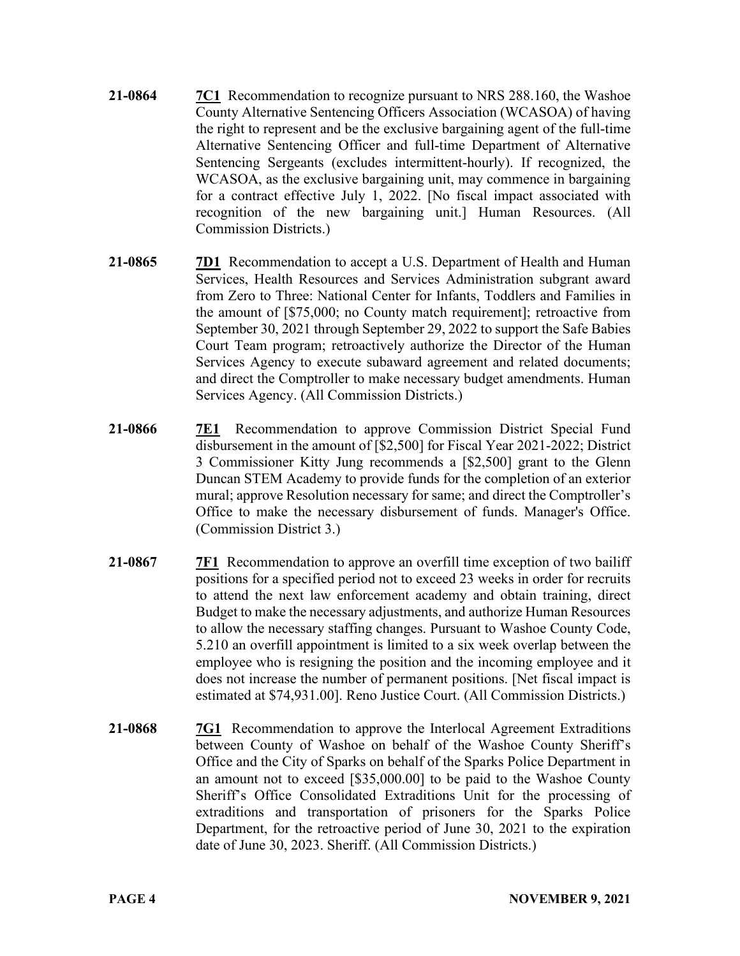- **21-0864 7C1** Recommendation to recognize pursuant to NRS 288.160, the Washoe County Alternative Sentencing Officers Association (WCASOA) of having the right to represent and be the exclusive bargaining agent of the full-time Alternative Sentencing Officer and full-time Department of Alternative Sentencing Sergeants (excludes intermittent-hourly). If recognized, the WCASOA, as the exclusive bargaining unit, may commence in bargaining for a contract effective July 1, 2022. [No fiscal impact associated with recognition of the new bargaining unit.] Human Resources. (All Commission Districts.)
- **21-0865 7D1** Recommendation to accept a U.S. Department of Health and Human Services, Health Resources and Services Administration subgrant award from Zero to Three: National Center for Infants, Toddlers and Families in the amount of [\$75,000; no County match requirement]; retroactive from September 30, 2021 through September 29, 2022 to support the Safe Babies Court Team program; retroactively authorize the Director of the Human Services Agency to execute subaward agreement and related documents; and direct the Comptroller to make necessary budget amendments. Human Services Agency. (All Commission Districts.)
- **21-0866 7E1** Recommendation to approve Commission District Special Fund disbursement in the amount of [\$2,500] for Fiscal Year 2021-2022; District 3 Commissioner Kitty Jung recommends a [\$2,500] grant to the Glenn Duncan STEM Academy to provide funds for the completion of an exterior mural; approve Resolution necessary for same; and direct the Comptroller's Office to make the necessary disbursement of funds. Manager's Office. (Commission District 3.)
- **21-0867 7F1** Recommendation to approve an overfill time exception of two bailiff positions for a specified period not to exceed 23 weeks in order for recruits to attend the next law enforcement academy and obtain training, direct Budget to make the necessary adjustments, and authorize Human Resources to allow the necessary staffing changes. Pursuant to Washoe County Code, 5.210 an overfill appointment is limited to a six week overlap between the employee who is resigning the position and the incoming employee and it does not increase the number of permanent positions. [Net fiscal impact is estimated at \$74,931.00]. Reno Justice Court. (All Commission Districts.)
- **21-0868 7G1** Recommendation to approve the Interlocal Agreement Extraditions between County of Washoe on behalf of the Washoe County Sheriff's Office and the City of Sparks on behalf of the Sparks Police Department in an amount not to exceed [\$35,000.00] to be paid to the Washoe County Sheriff's Office Consolidated Extraditions Unit for the processing of extraditions and transportation of prisoners for the Sparks Police Department, for the retroactive period of June 30, 2021 to the expiration date of June 30, 2023. Sheriff. (All Commission Districts.)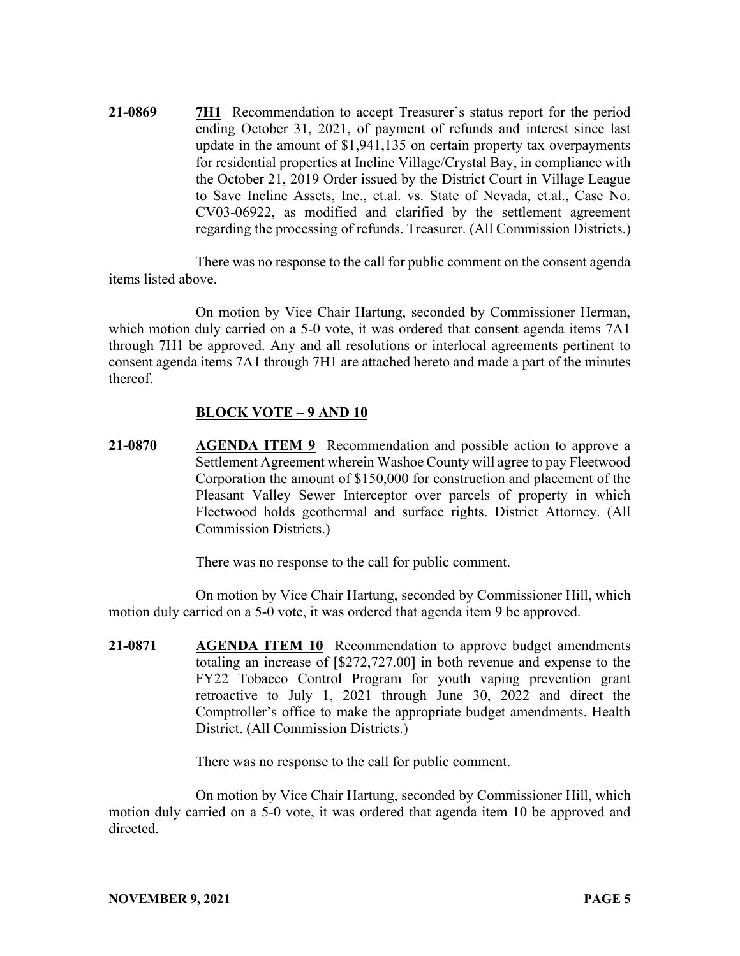**21-0869 7H1** Recommendation to accept Treasurer's status report for the period ending October 31, 2021, of payment of refunds and interest since last update in the amount of \$1,941,135 on certain property tax overpayments for residential properties at Incline Village/Crystal Bay, in compliance with the October 21, 2019 Order issued by the District Court in Village League to Save Incline Assets, Inc., et.al. vs. State of Nevada, et.al., Case No. CV03-06922, as modified and clarified by the settlement agreement regarding the processing of refunds. Treasurer. (All Commission Districts.)

There was no response to the call for public comment on the consent agenda items listed above.

On motion by Vice Chair Hartung, seconded by Commissioner Herman, which motion duly carried on a 5-0 vote, it was ordered that consent agenda items 7A1 through 7H1 be approved. Any and all resolutions or interlocal agreements pertinent to consent agenda items 7A1 through 7H1 are attached hereto and made a part of the minutes thereof.

#### **BLOCK VOTE – 9 AND 10**

**21-0870 AGENDA ITEM 9** Recommendation and possible action to approve a Settlement Agreement wherein Washoe County will agree to pay Fleetwood Corporation the amount of \$150,000 for construction and placement of the Pleasant Valley Sewer Interceptor over parcels of property in which Fleetwood holds geothermal and surface rights. District Attorney. (All Commission Districts.)

There was no response to the call for public comment.

On motion by Vice Chair Hartung, seconded by Commissioner Hill, which motion duly carried on a 5-0 vote, it was ordered that agenda item 9 be approved.

**21-0871 AGENDA ITEM 10** Recommendation to approve budget amendments totaling an increase of [\$272,727.00] in both revenue and expense to the FY22 Tobacco Control Program for youth vaping prevention grant retroactive to July 1, 2021 through June 30, 2022 and direct the Comptroller's office to make the appropriate budget amendments. Health District. (All Commission Districts.)

There was no response to the call for public comment.

On motion by Vice Chair Hartung, seconded by Commissioner Hill, which motion duly carried on a 5-0 vote, it was ordered that agenda item 10 be approved and directed.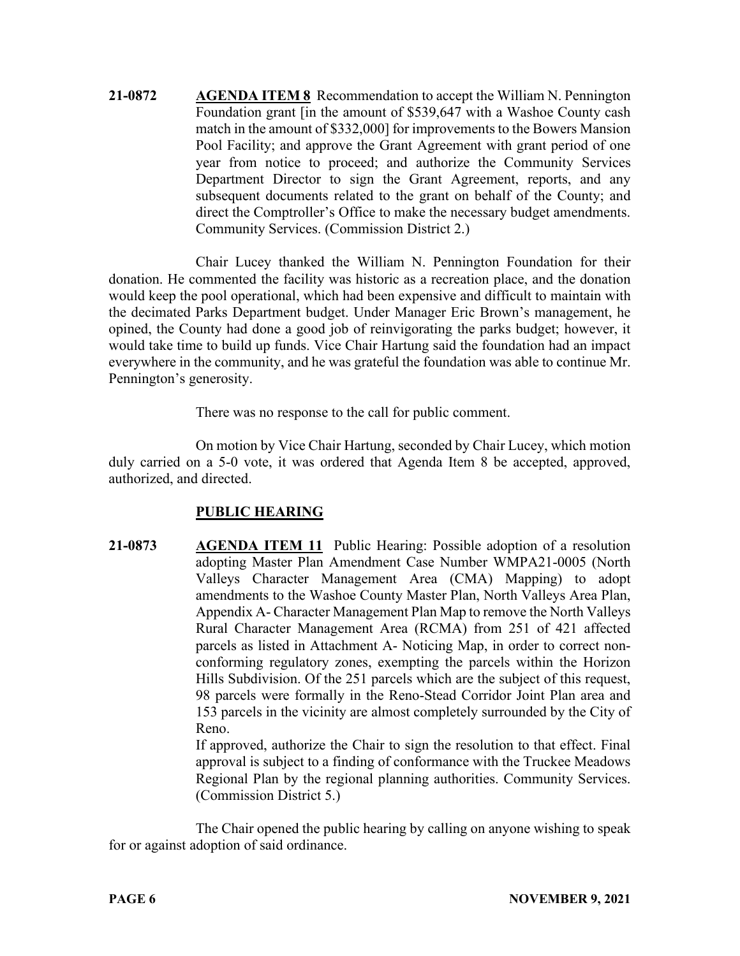**21-0872 AGENDA ITEM 8** Recommendation to accept the William N. Pennington Foundation grant [in the amount of \$539,647 with a Washoe County cash match in the amount of \$332,000] for improvements to the Bowers Mansion Pool Facility; and approve the Grant Agreement with grant period of one year from notice to proceed; and authorize the Community Services Department Director to sign the Grant Agreement, reports, and any subsequent documents related to the grant on behalf of the County; and direct the Comptroller's Office to make the necessary budget amendments. Community Services. (Commission District 2.)

Chair Lucey thanked the William N. Pennington Foundation for their donation. He commented the facility was historic as a recreation place, and the donation would keep the pool operational, which had been expensive and difficult to maintain with the decimated Parks Department budget. Under Manager Eric Brown's management, he opined, the County had done a good job of reinvigorating the parks budget; however, it would take time to build up funds. Vice Chair Hartung said the foundation had an impact everywhere in the community, and he was grateful the foundation was able to continue Mr. Pennington's generosity.

There was no response to the call for public comment.

On motion by Vice Chair Hartung, seconded by Chair Lucey, which motion duly carried on a 5-0 vote, it was ordered that Agenda Item 8 be accepted, approved, authorized, and directed.

#### **PUBLIC HEARING**

**21-0873 AGENDA ITEM 11** Public Hearing: Possible adoption of a resolution adopting Master Plan Amendment Case Number WMPA21-0005 (North Valleys Character Management Area (CMA) Mapping) to adopt amendments to the Washoe County Master Plan, North Valleys Area Plan, Appendix A- Character Management Plan Map to remove the North Valleys Rural Character Management Area (RCMA) from 251 of 421 affected parcels as listed in Attachment A- Noticing Map, in order to correct nonconforming regulatory zones, exempting the parcels within the Horizon Hills Subdivision. Of the 251 parcels which are the subject of this request, 98 parcels were formally in the Reno-Stead Corridor Joint Plan area and 153 parcels in the vicinity are almost completely surrounded by the City of Reno.

If approved, authorize the Chair to sign the resolution to that effect. Final approval is subject to a finding of conformance with the Truckee Meadows Regional Plan by the regional planning authorities. Community Services. (Commission District 5.)

The Chair opened the public hearing by calling on anyone wishing to speak for or against adoption of said ordinance.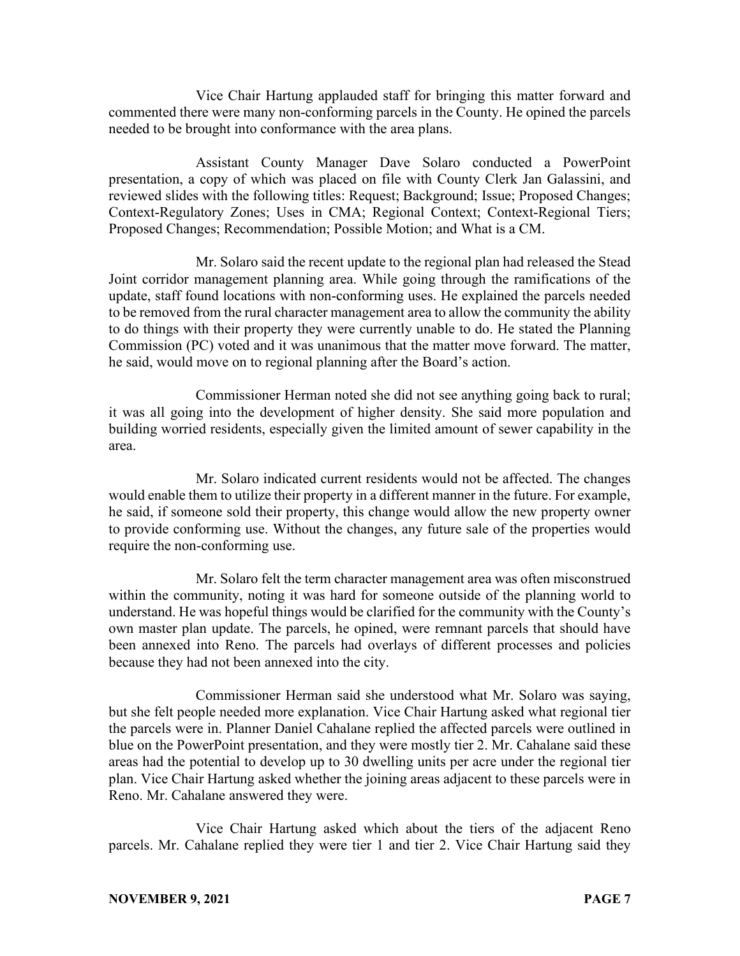Vice Chair Hartung applauded staff for bringing this matter forward and commented there were many non-conforming parcels in the County. He opined the parcels needed to be brought into conformance with the area plans.

Assistant County Manager Dave Solaro conducted a PowerPoint presentation, a copy of which was placed on file with County Clerk Jan Galassini, and reviewed slides with the following titles: Request; Background; Issue; Proposed Changes; Context-Regulatory Zones; Uses in CMA; Regional Context; Context-Regional Tiers; Proposed Changes; Recommendation; Possible Motion; and What is a CM.

Mr. Solaro said the recent update to the regional plan had released the Stead Joint corridor management planning area. While going through the ramifications of the update, staff found locations with non-conforming uses. He explained the parcels needed to be removed from the rural character management area to allow the community the ability to do things with their property they were currently unable to do. He stated the Planning Commission (PC) voted and it was unanimous that the matter move forward. The matter, he said, would move on to regional planning after the Board's action.

Commissioner Herman noted she did not see anything going back to rural; it was all going into the development of higher density. She said more population and building worried residents, especially given the limited amount of sewer capability in the area.

Mr. Solaro indicated current residents would not be affected. The changes would enable them to utilize their property in a different manner in the future. For example, he said, if someone sold their property, this change would allow the new property owner to provide conforming use. Without the changes, any future sale of the properties would require the non-conforming use.

Mr. Solaro felt the term character management area was often misconstrued within the community, noting it was hard for someone outside of the planning world to understand. He was hopeful things would be clarified for the community with the County's own master plan update. The parcels, he opined, were remnant parcels that should have been annexed into Reno. The parcels had overlays of different processes and policies because they had not been annexed into the city.

Commissioner Herman said she understood what Mr. Solaro was saying, but she felt people needed more explanation. Vice Chair Hartung asked what regional tier the parcels were in. Planner Daniel Cahalane replied the affected parcels were outlined in blue on the PowerPoint presentation, and they were mostly tier 2. Mr. Cahalane said these areas had the potential to develop up to 30 dwelling units per acre under the regional tier plan. Vice Chair Hartung asked whether the joining areas adjacent to these parcels were in Reno. Mr. Cahalane answered they were.

Vice Chair Hartung asked which about the tiers of the adjacent Reno parcels. Mr. Cahalane replied they were tier 1 and tier 2. Vice Chair Hartung said they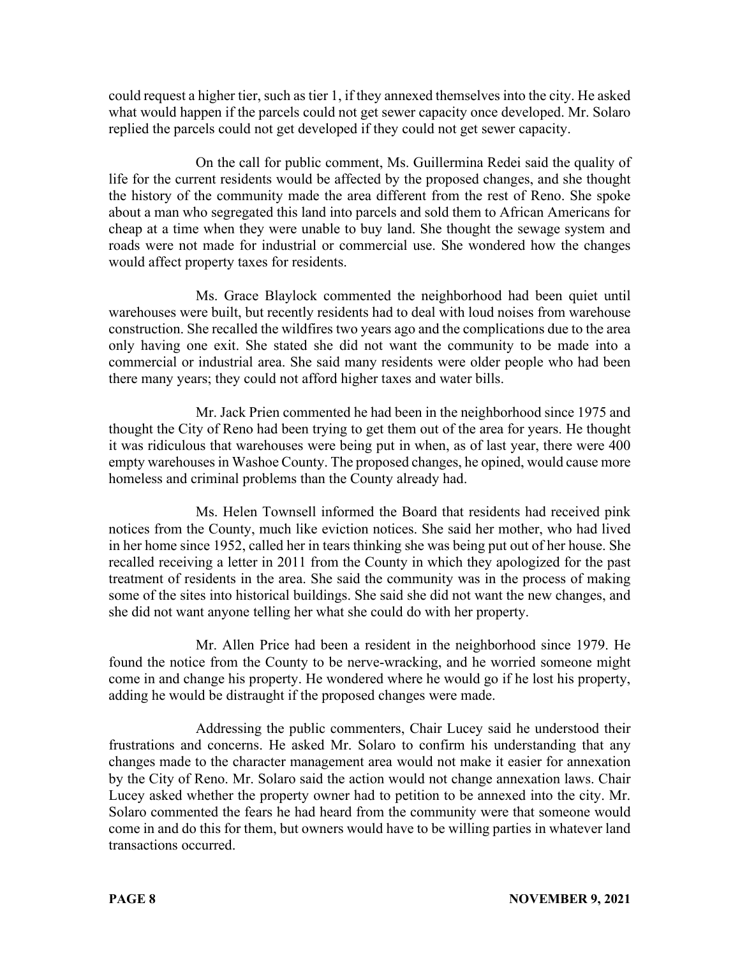could request a higher tier, such as tier 1, if they annexed themselves into the city. He asked what would happen if the parcels could not get sewer capacity once developed. Mr. Solaro replied the parcels could not get developed if they could not get sewer capacity.

On the call for public comment, Ms. Guillermina Redei said the quality of life for the current residents would be affected by the proposed changes, and she thought the history of the community made the area different from the rest of Reno. She spoke about a man who segregated this land into parcels and sold them to African Americans for cheap at a time when they were unable to buy land. She thought the sewage system and roads were not made for industrial or commercial use. She wondered how the changes would affect property taxes for residents.

Ms. Grace Blaylock commented the neighborhood had been quiet until warehouses were built, but recently residents had to deal with loud noises from warehouse construction. She recalled the wildfires two years ago and the complications due to the area only having one exit. She stated she did not want the community to be made into a commercial or industrial area. She said many residents were older people who had been there many years; they could not afford higher taxes and water bills.

Mr. Jack Prien commented he had been in the neighborhood since 1975 and thought the City of Reno had been trying to get them out of the area for years. He thought it was ridiculous that warehouses were being put in when, as of last year, there were 400 empty warehouses in Washoe County. The proposed changes, he opined, would cause more homeless and criminal problems than the County already had.

Ms. Helen Townsell informed the Board that residents had received pink notices from the County, much like eviction notices. She said her mother, who had lived in her home since 1952, called her in tears thinking she was being put out of her house. She recalled receiving a letter in 2011 from the County in which they apologized for the past treatment of residents in the area. She said the community was in the process of making some of the sites into historical buildings. She said she did not want the new changes, and she did not want anyone telling her what she could do with her property.

Mr. Allen Price had been a resident in the neighborhood since 1979. He found the notice from the County to be nerve-wracking, and he worried someone might come in and change his property. He wondered where he would go if he lost his property, adding he would be distraught if the proposed changes were made.

Addressing the public commenters, Chair Lucey said he understood their frustrations and concerns. He asked Mr. Solaro to confirm his understanding that any changes made to the character management area would not make it easier for annexation by the City of Reno. Mr. Solaro said the action would not change annexation laws. Chair Lucey asked whether the property owner had to petition to be annexed into the city. Mr. Solaro commented the fears he had heard from the community were that someone would come in and do this for them, but owners would have to be willing parties in whatever land transactions occurred.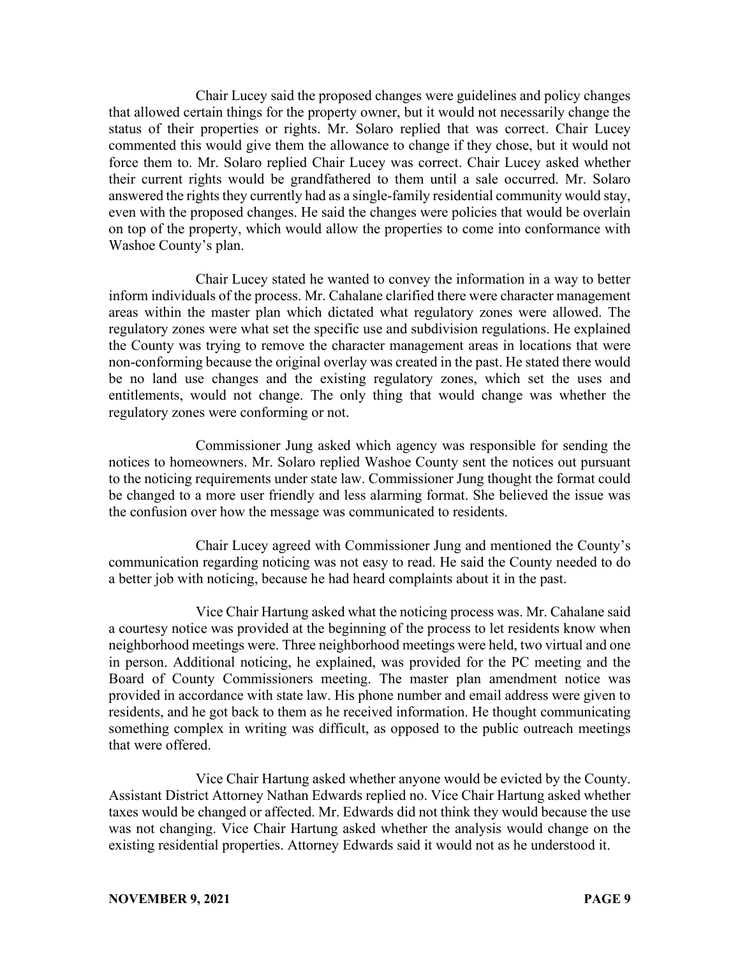Chair Lucey said the proposed changes were guidelines and policy changes that allowed certain things for the property owner, but it would not necessarily change the status of their properties or rights. Mr. Solaro replied that was correct. Chair Lucey commented this would give them the allowance to change if they chose, but it would not force them to. Mr. Solaro replied Chair Lucey was correct. Chair Lucey asked whether their current rights would be grandfathered to them until a sale occurred. Mr. Solaro answered the rights they currently had as a single-family residential community would stay, even with the proposed changes. He said the changes were policies that would be overlain on top of the property, which would allow the properties to come into conformance with Washoe County's plan.

Chair Lucey stated he wanted to convey the information in a way to better inform individuals of the process. Mr. Cahalane clarified there were character management areas within the master plan which dictated what regulatory zones were allowed. The regulatory zones were what set the specific use and subdivision regulations. He explained the County was trying to remove the character management areas in locations that were non-conforming because the original overlay was created in the past. He stated there would be no land use changes and the existing regulatory zones, which set the uses and entitlements, would not change. The only thing that would change was whether the regulatory zones were conforming or not.

Commissioner Jung asked which agency was responsible for sending the notices to homeowners. Mr. Solaro replied Washoe County sent the notices out pursuant to the noticing requirements under state law. Commissioner Jung thought the format could be changed to a more user friendly and less alarming format. She believed the issue was the confusion over how the message was communicated to residents.

Chair Lucey agreed with Commissioner Jung and mentioned the County's communication regarding noticing was not easy to read. He said the County needed to do a better job with noticing, because he had heard complaints about it in the past.

Vice Chair Hartung asked what the noticing process was. Mr. Cahalane said a courtesy notice was provided at the beginning of the process to let residents know when neighborhood meetings were. Three neighborhood meetings were held, two virtual and one in person. Additional noticing, he explained, was provided for the PC meeting and the Board of County Commissioners meeting. The master plan amendment notice was provided in accordance with state law. His phone number and email address were given to residents, and he got back to them as he received information. He thought communicating something complex in writing was difficult, as opposed to the public outreach meetings that were offered.

Vice Chair Hartung asked whether anyone would be evicted by the County. Assistant District Attorney Nathan Edwards replied no. Vice Chair Hartung asked whether taxes would be changed or affected. Mr. Edwards did not think they would because the use was not changing. Vice Chair Hartung asked whether the analysis would change on the existing residential properties. Attorney Edwards said it would not as he understood it.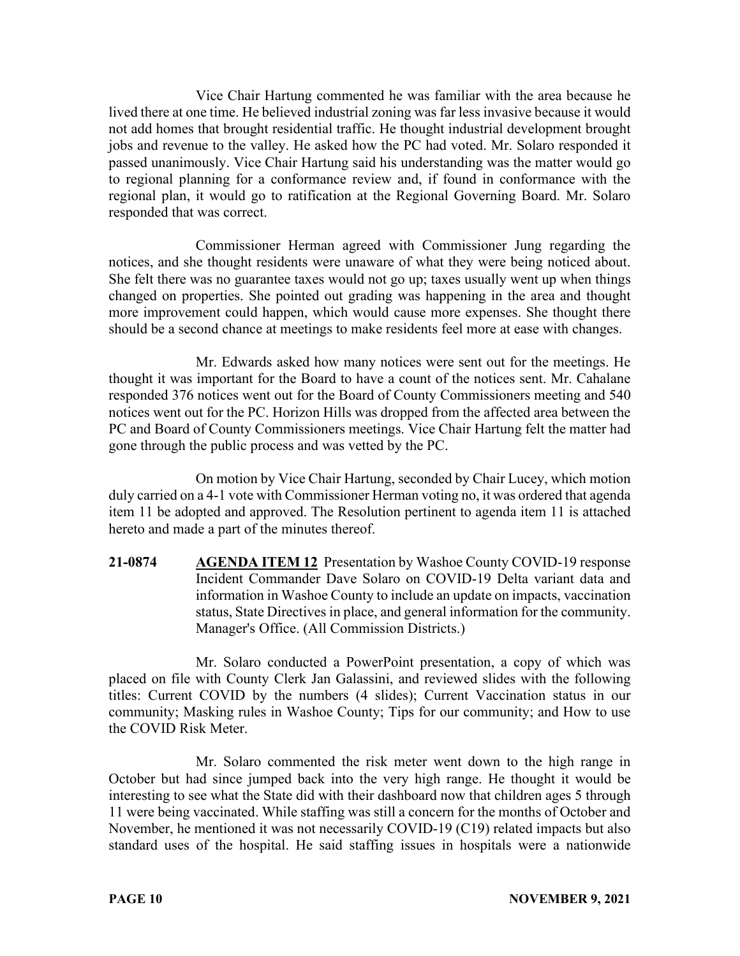Vice Chair Hartung commented he was familiar with the area because he lived there at one time. He believed industrial zoning was far less invasive because it would not add homes that brought residential traffic. He thought industrial development brought jobs and revenue to the valley. He asked how the PC had voted. Mr. Solaro responded it passed unanimously. Vice Chair Hartung said his understanding was the matter would go to regional planning for a conformance review and, if found in conformance with the regional plan, it would go to ratification at the Regional Governing Board. Mr. Solaro responded that was correct.

Commissioner Herman agreed with Commissioner Jung regarding the notices, and she thought residents were unaware of what they were being noticed about. She felt there was no guarantee taxes would not go up; taxes usually went up when things changed on properties. She pointed out grading was happening in the area and thought more improvement could happen, which would cause more expenses. She thought there should be a second chance at meetings to make residents feel more at ease with changes.

Mr. Edwards asked how many notices were sent out for the meetings. He thought it was important for the Board to have a count of the notices sent. Mr. Cahalane responded 376 notices went out for the Board of County Commissioners meeting and 540 notices went out for the PC. Horizon Hills was dropped from the affected area between the PC and Board of County Commissioners meetings. Vice Chair Hartung felt the matter had gone through the public process and was vetted by the PC.

On motion by Vice Chair Hartung, seconded by Chair Lucey, which motion duly carried on a 4-1 vote with Commissioner Herman voting no, it was ordered that agenda item 11 be adopted and approved. The Resolution pertinent to agenda item 11 is attached hereto and made a part of the minutes thereof.

**21-0874 AGENDA ITEM 12** Presentation by Washoe County COVID-19 response Incident Commander Dave Solaro on COVID-19 Delta variant data and information in Washoe County to include an update on impacts, vaccination status, State Directives in place, and general information for the community. Manager's Office. (All Commission Districts.)

Mr. Solaro conducted a PowerPoint presentation, a copy of which was placed on file with County Clerk Jan Galassini, and reviewed slides with the following titles: Current COVID by the numbers (4 slides); Current Vaccination status in our community; Masking rules in Washoe County; Tips for our community; and How to use the COVID Risk Meter.

Mr. Solaro commented the risk meter went down to the high range in October but had since jumped back into the very high range. He thought it would be interesting to see what the State did with their dashboard now that children ages 5 through 11 were being vaccinated. While staffing was still a concern for the months of October and November, he mentioned it was not necessarily COVID-19 (C19) related impacts but also standard uses of the hospital. He said staffing issues in hospitals were a nationwide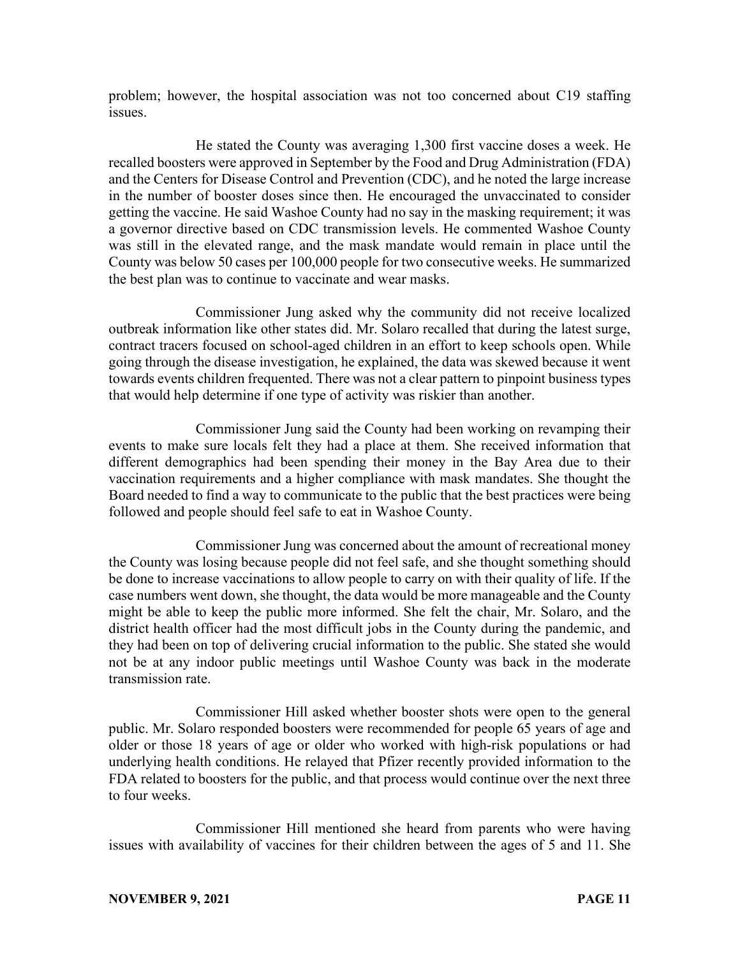problem; however, the hospital association was not too concerned about C19 staffing issues.

He stated the County was averaging 1,300 first vaccine doses a week. He recalled boosters were approved in September by the Food and Drug Administration (FDA) and the Centers for Disease Control and Prevention (CDC), and he noted the large increase in the number of booster doses since then. He encouraged the unvaccinated to consider getting the vaccine. He said Washoe County had no say in the masking requirement; it was a governor directive based on CDC transmission levels. He commented Washoe County was still in the elevated range, and the mask mandate would remain in place until the County was below 50 cases per 100,000 people for two consecutive weeks. He summarized the best plan was to continue to vaccinate and wear masks.

Commissioner Jung asked why the community did not receive localized outbreak information like other states did. Mr. Solaro recalled that during the latest surge, contract tracers focused on school-aged children in an effort to keep schools open. While going through the disease investigation, he explained, the data was skewed because it went towards events children frequented. There was not a clear pattern to pinpoint business types that would help determine if one type of activity was riskier than another.

Commissioner Jung said the County had been working on revamping their events to make sure locals felt they had a place at them. She received information that different demographics had been spending their money in the Bay Area due to their vaccination requirements and a higher compliance with mask mandates. She thought the Board needed to find a way to communicate to the public that the best practices were being followed and people should feel safe to eat in Washoe County.

Commissioner Jung was concerned about the amount of recreational money the County was losing because people did not feel safe, and she thought something should be done to increase vaccinations to allow people to carry on with their quality of life. If the case numbers went down, she thought, the data would be more manageable and the County might be able to keep the public more informed. She felt the chair, Mr. Solaro, and the district health officer had the most difficult jobs in the County during the pandemic, and they had been on top of delivering crucial information to the public. She stated she would not be at any indoor public meetings until Washoe County was back in the moderate transmission rate.

Commissioner Hill asked whether booster shots were open to the general public. Mr. Solaro responded boosters were recommended for people 65 years of age and older or those 18 years of age or older who worked with high-risk populations or had underlying health conditions. He relayed that Pfizer recently provided information to the FDA related to boosters for the public, and that process would continue over the next three to four weeks.

Commissioner Hill mentioned she heard from parents who were having issues with availability of vaccines for their children between the ages of 5 and 11. She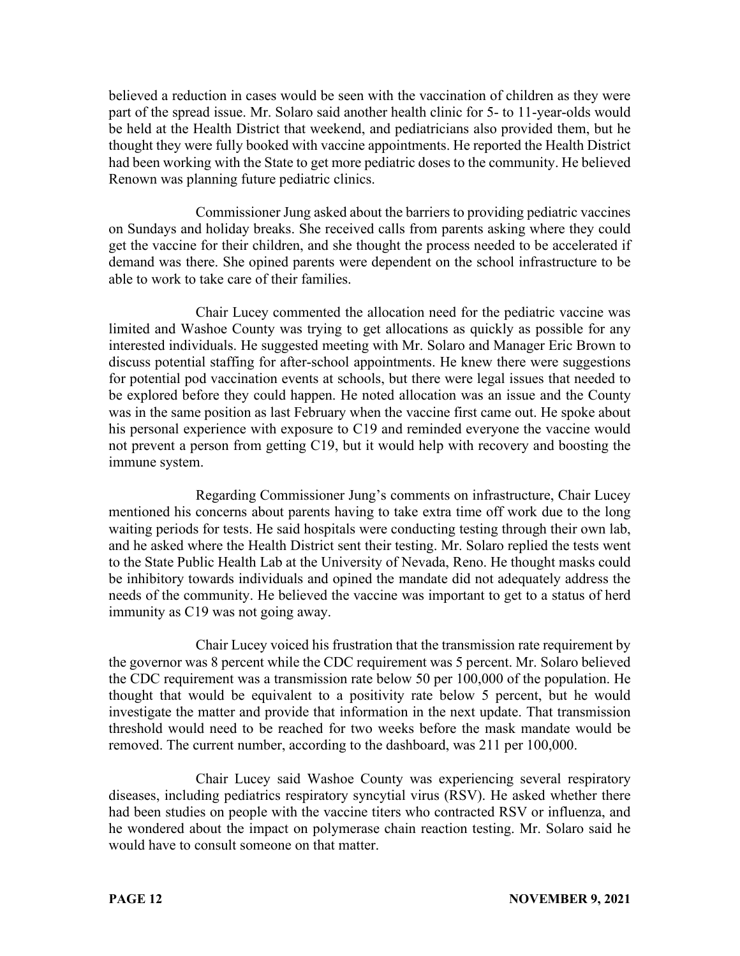believed a reduction in cases would be seen with the vaccination of children as they were part of the spread issue. Mr. Solaro said another health clinic for 5- to 11-year-olds would be held at the Health District that weekend, and pediatricians also provided them, but he thought they were fully booked with vaccine appointments. He reported the Health District had been working with the State to get more pediatric doses to the community. He believed Renown was planning future pediatric clinics.

Commissioner Jung asked about the barriers to providing pediatric vaccines on Sundays and holiday breaks. She received calls from parents asking where they could get the vaccine for their children, and she thought the process needed to be accelerated if demand was there. She opined parents were dependent on the school infrastructure to be able to work to take care of their families.

Chair Lucey commented the allocation need for the pediatric vaccine was limited and Washoe County was trying to get allocations as quickly as possible for any interested individuals. He suggested meeting with Mr. Solaro and Manager Eric Brown to discuss potential staffing for after-school appointments. He knew there were suggestions for potential pod vaccination events at schools, but there were legal issues that needed to be explored before they could happen. He noted allocation was an issue and the County was in the same position as last February when the vaccine first came out. He spoke about his personal experience with exposure to C19 and reminded everyone the vaccine would not prevent a person from getting C19, but it would help with recovery and boosting the immune system.

Regarding Commissioner Jung's comments on infrastructure, Chair Lucey mentioned his concerns about parents having to take extra time off work due to the long waiting periods for tests. He said hospitals were conducting testing through their own lab, and he asked where the Health District sent their testing. Mr. Solaro replied the tests went to the State Public Health Lab at the University of Nevada, Reno. He thought masks could be inhibitory towards individuals and opined the mandate did not adequately address the needs of the community. He believed the vaccine was important to get to a status of herd immunity as C19 was not going away.

Chair Lucey voiced his frustration that the transmission rate requirement by the governor was 8 percent while the CDC requirement was 5 percent. Mr. Solaro believed the CDC requirement was a transmission rate below 50 per 100,000 of the population. He thought that would be equivalent to a positivity rate below 5 percent, but he would investigate the matter and provide that information in the next update. That transmission threshold would need to be reached for two weeks before the mask mandate would be removed. The current number, according to the dashboard, was 211 per 100,000.

Chair Lucey said Washoe County was experiencing several respiratory diseases, including pediatrics respiratory syncytial virus (RSV). He asked whether there had been studies on people with the vaccine titers who contracted RSV or influenza, and he wondered about the impact on polymerase chain reaction testing. Mr. Solaro said he would have to consult someone on that matter.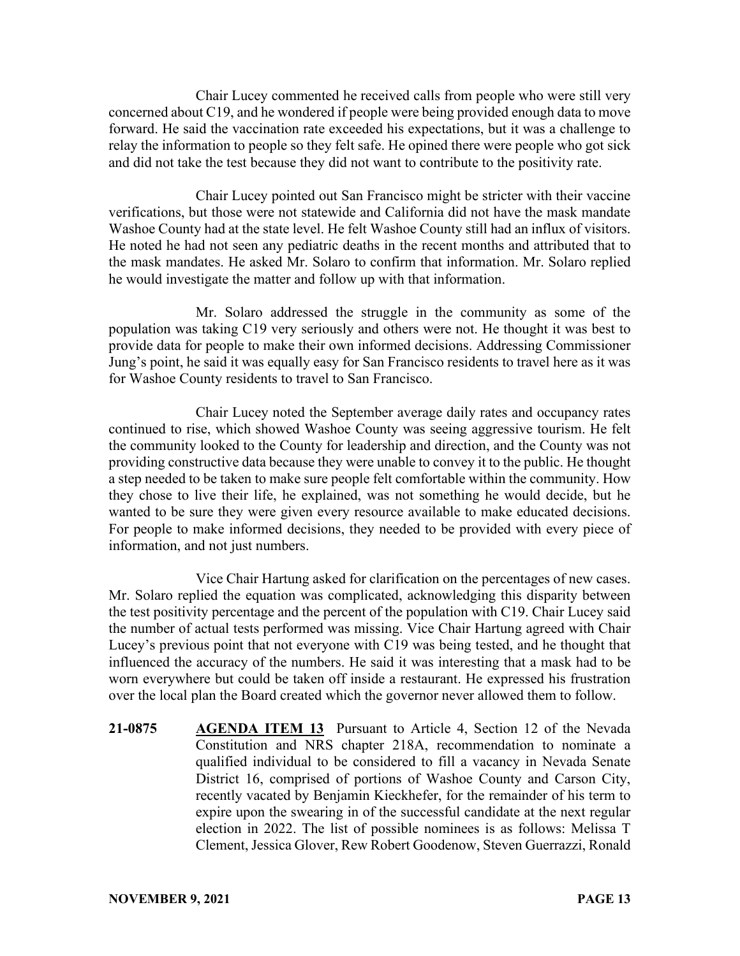Chair Lucey commented he received calls from people who were still very concerned about C19, and he wondered if people were being provided enough data to move forward. He said the vaccination rate exceeded his expectations, but it was a challenge to relay the information to people so they felt safe. He opined there were people who got sick and did not take the test because they did not want to contribute to the positivity rate.

Chair Lucey pointed out San Francisco might be stricter with their vaccine verifications, but those were not statewide and California did not have the mask mandate Washoe County had at the state level. He felt Washoe County still had an influx of visitors. He noted he had not seen any pediatric deaths in the recent months and attributed that to the mask mandates. He asked Mr. Solaro to confirm that information. Mr. Solaro replied he would investigate the matter and follow up with that information.

Mr. Solaro addressed the struggle in the community as some of the population was taking C19 very seriously and others were not. He thought it was best to provide data for people to make their own informed decisions. Addressing Commissioner Jung's point, he said it was equally easy for San Francisco residents to travel here as it was for Washoe County residents to travel to San Francisco.

Chair Lucey noted the September average daily rates and occupancy rates continued to rise, which showed Washoe County was seeing aggressive tourism. He felt the community looked to the County for leadership and direction, and the County was not providing constructive data because they were unable to convey it to the public. He thought a step needed to be taken to make sure people felt comfortable within the community. How they chose to live their life, he explained, was not something he would decide, but he wanted to be sure they were given every resource available to make educated decisions. For people to make informed decisions, they needed to be provided with every piece of information, and not just numbers.

Vice Chair Hartung asked for clarification on the percentages of new cases. Mr. Solaro replied the equation was complicated, acknowledging this disparity between the test positivity percentage and the percent of the population with C19. Chair Lucey said the number of actual tests performed was missing. Vice Chair Hartung agreed with Chair Lucey's previous point that not everyone with C19 was being tested, and he thought that influenced the accuracy of the numbers. He said it was interesting that a mask had to be worn everywhere but could be taken off inside a restaurant. He expressed his frustration over the local plan the Board created which the governor never allowed them to follow.

**21-0875 AGENDA ITEM 13** Pursuant to Article 4, Section 12 of the Nevada Constitution and NRS chapter 218A, recommendation to nominate a qualified individual to be considered to fill a vacancy in Nevada Senate District 16, comprised of portions of Washoe County and Carson City, recently vacated by Benjamin Kieckhefer, for the remainder of his term to expire upon the swearing in of the successful candidate at the next regular election in 2022. The list of possible nominees is as follows: Melissa T Clement, Jessica Glover, Rew Robert Goodenow, Steven Guerrazzi, Ronald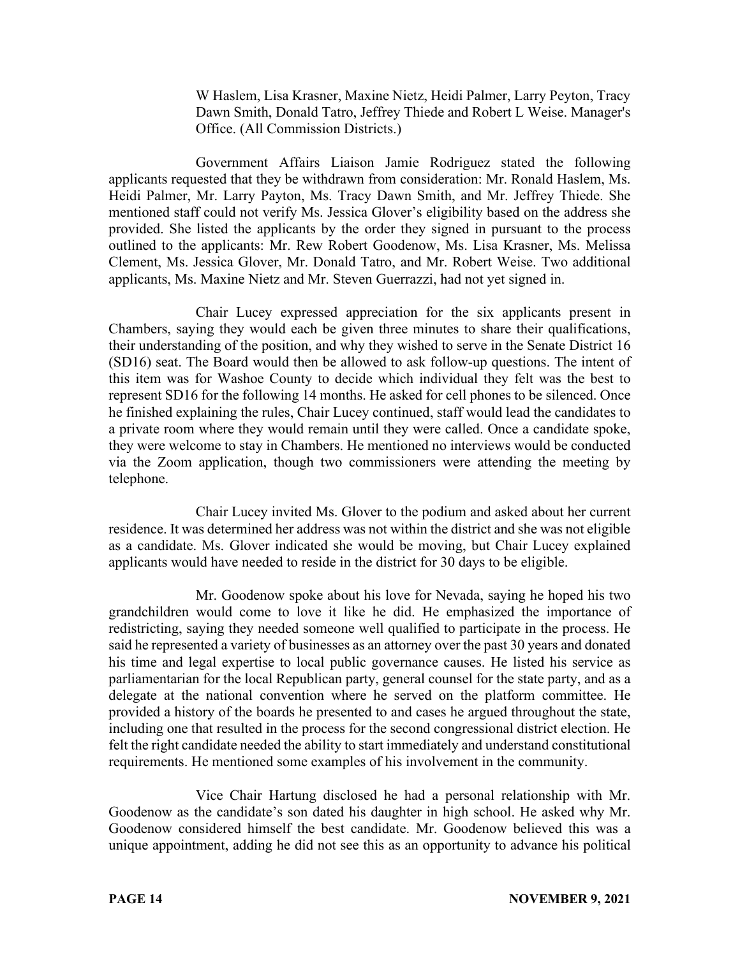W Haslem, Lisa Krasner, Maxine Nietz, Heidi Palmer, Larry Peyton, Tracy Dawn Smith, Donald Tatro, Jeffrey Thiede and Robert L Weise. Manager's Office. (All Commission Districts.)

Government Affairs Liaison Jamie Rodriguez stated the following applicants requested that they be withdrawn from consideration: Mr. Ronald Haslem, Ms. Heidi Palmer, Mr. Larry Payton, Ms. Tracy Dawn Smith, and Mr. Jeffrey Thiede. She mentioned staff could not verify Ms. Jessica Glover's eligibility based on the address she provided. She listed the applicants by the order they signed in pursuant to the process outlined to the applicants: Mr. Rew Robert Goodenow, Ms. Lisa Krasner, Ms. Melissa Clement, Ms. Jessica Glover, Mr. Donald Tatro, and Mr. Robert Weise. Two additional applicants, Ms. Maxine Nietz and Mr. Steven Guerrazzi, had not yet signed in.

Chair Lucey expressed appreciation for the six applicants present in Chambers, saying they would each be given three minutes to share their qualifications, their understanding of the position, and why they wished to serve in the Senate District 16 (SD16) seat. The Board would then be allowed to ask follow-up questions. The intent of this item was for Washoe County to decide which individual they felt was the best to represent SD16 for the following 14 months. He asked for cell phones to be silenced. Once he finished explaining the rules, Chair Lucey continued, staff would lead the candidates to a private room where they would remain until they were called. Once a candidate spoke, they were welcome to stay in Chambers. He mentioned no interviews would be conducted via the Zoom application, though two commissioners were attending the meeting by telephone.

Chair Lucey invited Ms. Glover to the podium and asked about her current residence. It was determined her address was not within the district and she was not eligible as a candidate. Ms. Glover indicated she would be moving, but Chair Lucey explained applicants would have needed to reside in the district for 30 days to be eligible.

Mr. Goodenow spoke about his love for Nevada, saying he hoped his two grandchildren would come to love it like he did. He emphasized the importance of redistricting, saying they needed someone well qualified to participate in the process. He said he represented a variety of businesses as an attorney over the past 30 years and donated his time and legal expertise to local public governance causes. He listed his service as parliamentarian for the local Republican party, general counsel for the state party, and as a delegate at the national convention where he served on the platform committee. He provided a history of the boards he presented to and cases he argued throughout the state, including one that resulted in the process for the second congressional district election. He felt the right candidate needed the ability to start immediately and understand constitutional requirements. He mentioned some examples of his involvement in the community.

Vice Chair Hartung disclosed he had a personal relationship with Mr. Goodenow as the candidate's son dated his daughter in high school. He asked why Mr. Goodenow considered himself the best candidate. Mr. Goodenow believed this was a unique appointment, adding he did not see this as an opportunity to advance his political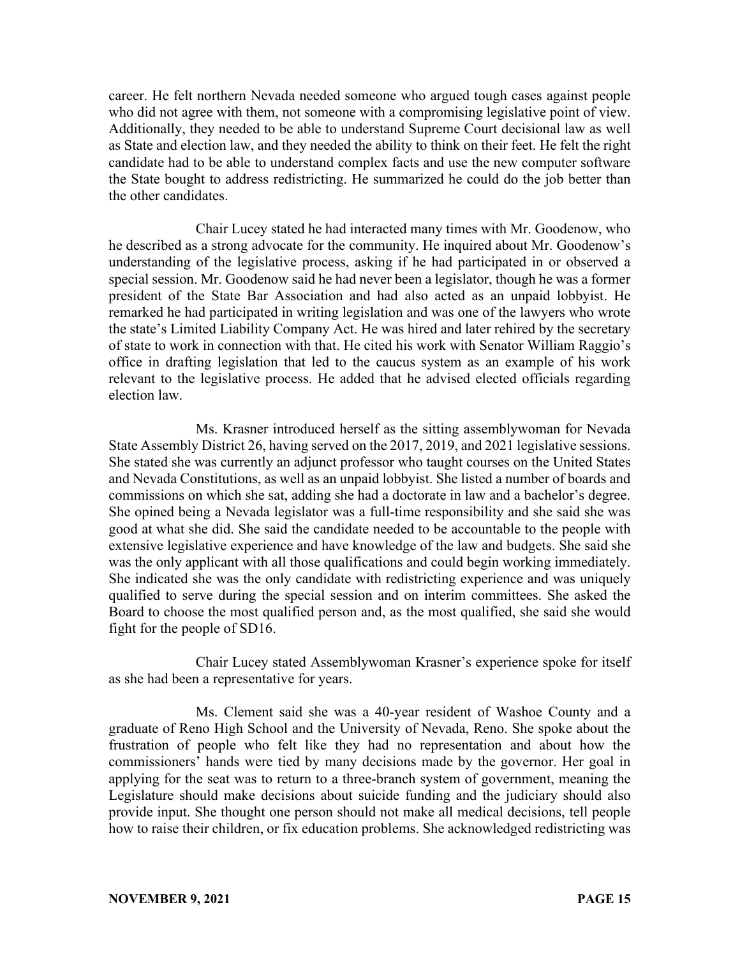career. He felt northern Nevada needed someone who argued tough cases against people who did not agree with them, not someone with a compromising legislative point of view. Additionally, they needed to be able to understand Supreme Court decisional law as well as State and election law, and they needed the ability to think on their feet. He felt the right candidate had to be able to understand complex facts and use the new computer software the State bought to address redistricting. He summarized he could do the job better than the other candidates.

Chair Lucey stated he had interacted many times with Mr. Goodenow, who he described as a strong advocate for the community. He inquired about Mr. Goodenow's understanding of the legislative process, asking if he had participated in or observed a special session. Mr. Goodenow said he had never been a legislator, though he was a former president of the State Bar Association and had also acted as an unpaid lobbyist. He remarked he had participated in writing legislation and was one of the lawyers who wrote the state's Limited Liability Company Act. He was hired and later rehired by the secretary of state to work in connection with that. He cited his work with Senator William Raggio's office in drafting legislation that led to the caucus system as an example of his work relevant to the legislative process. He added that he advised elected officials regarding election law.

Ms. Krasner introduced herself as the sitting assemblywoman for Nevada State Assembly District 26, having served on the 2017, 2019, and 2021 legislative sessions. She stated she was currently an adjunct professor who taught courses on the United States and Nevada Constitutions, as well as an unpaid lobbyist. She listed a number of boards and commissions on which she sat, adding she had a doctorate in law and a bachelor's degree. She opined being a Nevada legislator was a full-time responsibility and she said she was good at what she did. She said the candidate needed to be accountable to the people with extensive legislative experience and have knowledge of the law and budgets. She said she was the only applicant with all those qualifications and could begin working immediately. She indicated she was the only candidate with redistricting experience and was uniquely qualified to serve during the special session and on interim committees. She asked the Board to choose the most qualified person and, as the most qualified, she said she would fight for the people of SD16.

Chair Lucey stated Assemblywoman Krasner's experience spoke for itself as she had been a representative for years.

Ms. Clement said she was a 40-year resident of Washoe County and a graduate of Reno High School and the University of Nevada, Reno. She spoke about the frustration of people who felt like they had no representation and about how the commissioners' hands were tied by many decisions made by the governor. Her goal in applying for the seat was to return to a three-branch system of government, meaning the Legislature should make decisions about suicide funding and the judiciary should also provide input. She thought one person should not make all medical decisions, tell people how to raise their children, or fix education problems. She acknowledged redistricting was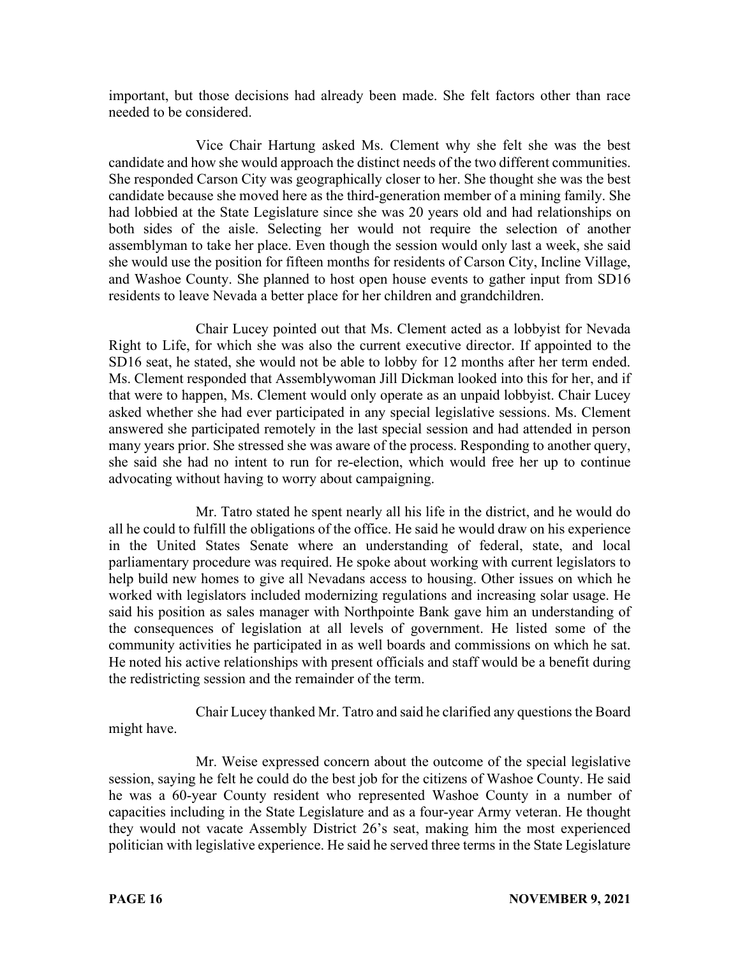important, but those decisions had already been made. She felt factors other than race needed to be considered.

Vice Chair Hartung asked Ms. Clement why she felt she was the best candidate and how she would approach the distinct needs of the two different communities. She responded Carson City was geographically closer to her. She thought she was the best candidate because she moved here as the third-generation member of a mining family. She had lobbied at the State Legislature since she was 20 years old and had relationships on both sides of the aisle. Selecting her would not require the selection of another assemblyman to take her place. Even though the session would only last a week, she said she would use the position for fifteen months for residents of Carson City, Incline Village, and Washoe County. She planned to host open house events to gather input from SD16 residents to leave Nevada a better place for her children and grandchildren.

Chair Lucey pointed out that Ms. Clement acted as a lobbyist for Nevada Right to Life, for which she was also the current executive director. If appointed to the SD16 seat, he stated, she would not be able to lobby for 12 months after her term ended. Ms. Clement responded that Assemblywoman Jill Dickman looked into this for her, and if that were to happen, Ms. Clement would only operate as an unpaid lobbyist. Chair Lucey asked whether she had ever participated in any special legislative sessions. Ms. Clement answered she participated remotely in the last special session and had attended in person many years prior. She stressed she was aware of the process. Responding to another query, she said she had no intent to run for re-election, which would free her up to continue advocating without having to worry about campaigning.

Mr. Tatro stated he spent nearly all his life in the district, and he would do all he could to fulfill the obligations of the office. He said he would draw on his experience in the United States Senate where an understanding of federal, state, and local parliamentary procedure was required. He spoke about working with current legislators to help build new homes to give all Nevadans access to housing. Other issues on which he worked with legislators included modernizing regulations and increasing solar usage. He said his position as sales manager with Northpointe Bank gave him an understanding of the consequences of legislation at all levels of government. He listed some of the community activities he participated in as well boards and commissions on which he sat. He noted his active relationships with present officials and staff would be a benefit during the redistricting session and the remainder of the term.

Chair Lucey thanked Mr. Tatro and said he clarified any questions the Board might have.

Mr. Weise expressed concern about the outcome of the special legislative session, saying he felt he could do the best job for the citizens of Washoe County. He said he was a 60-year County resident who represented Washoe County in a number of capacities including in the State Legislature and as a four-year Army veteran. He thought they would not vacate Assembly District 26's seat, making him the most experienced politician with legislative experience. He said he served three terms in the State Legislature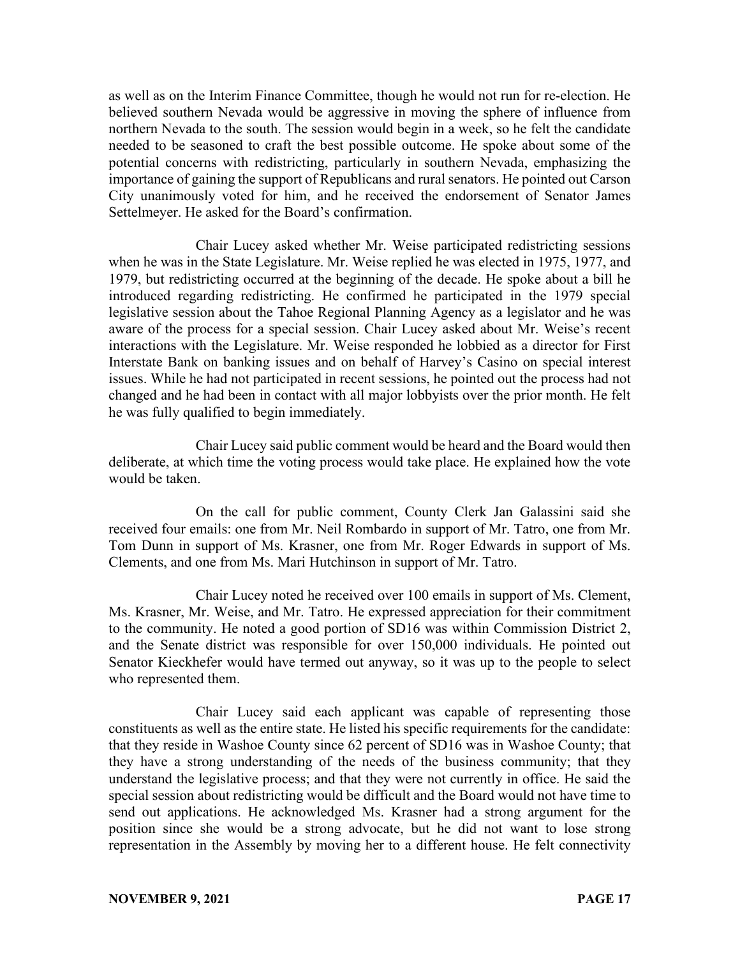as well as on the Interim Finance Committee, though he would not run for re-election. He believed southern Nevada would be aggressive in moving the sphere of influence from northern Nevada to the south. The session would begin in a week, so he felt the candidate needed to be seasoned to craft the best possible outcome. He spoke about some of the potential concerns with redistricting, particularly in southern Nevada, emphasizing the importance of gaining the support of Republicans and rural senators. He pointed out Carson City unanimously voted for him, and he received the endorsement of Senator James Settelmeyer. He asked for the Board's confirmation.

Chair Lucey asked whether Mr. Weise participated redistricting sessions when he was in the State Legislature. Mr. Weise replied he was elected in 1975, 1977, and 1979, but redistricting occurred at the beginning of the decade. He spoke about a bill he introduced regarding redistricting. He confirmed he participated in the 1979 special legislative session about the Tahoe Regional Planning Agency as a legislator and he was aware of the process for a special session. Chair Lucey asked about Mr. Weise's recent interactions with the Legislature. Mr. Weise responded he lobbied as a director for First Interstate Bank on banking issues and on behalf of Harvey's Casino on special interest issues. While he had not participated in recent sessions, he pointed out the process had not changed and he had been in contact with all major lobbyists over the prior month. He felt he was fully qualified to begin immediately.

Chair Lucey said public comment would be heard and the Board would then deliberate, at which time the voting process would take place. He explained how the vote would be taken.

On the call for public comment, County Clerk Jan Galassini said she received four emails: one from Mr. Neil Rombardo in support of Mr. Tatro, one from Mr. Tom Dunn in support of Ms. Krasner, one from Mr. Roger Edwards in support of Ms. Clements, and one from Ms. Mari Hutchinson in support of Mr. Tatro.

Chair Lucey noted he received over 100 emails in support of Ms. Clement, Ms. Krasner, Mr. Weise, and Mr. Tatro. He expressed appreciation for their commitment to the community. He noted a good portion of SD16 was within Commission District 2, and the Senate district was responsible for over 150,000 individuals. He pointed out Senator Kieckhefer would have termed out anyway, so it was up to the people to select who represented them.

Chair Lucey said each applicant was capable of representing those constituents as well as the entire state. He listed his specific requirements for the candidate: that they reside in Washoe County since 62 percent of SD16 was in Washoe County; that they have a strong understanding of the needs of the business community; that they understand the legislative process; and that they were not currently in office. He said the special session about redistricting would be difficult and the Board would not have time to send out applications. He acknowledged Ms. Krasner had a strong argument for the position since she would be a strong advocate, but he did not want to lose strong representation in the Assembly by moving her to a different house. He felt connectivity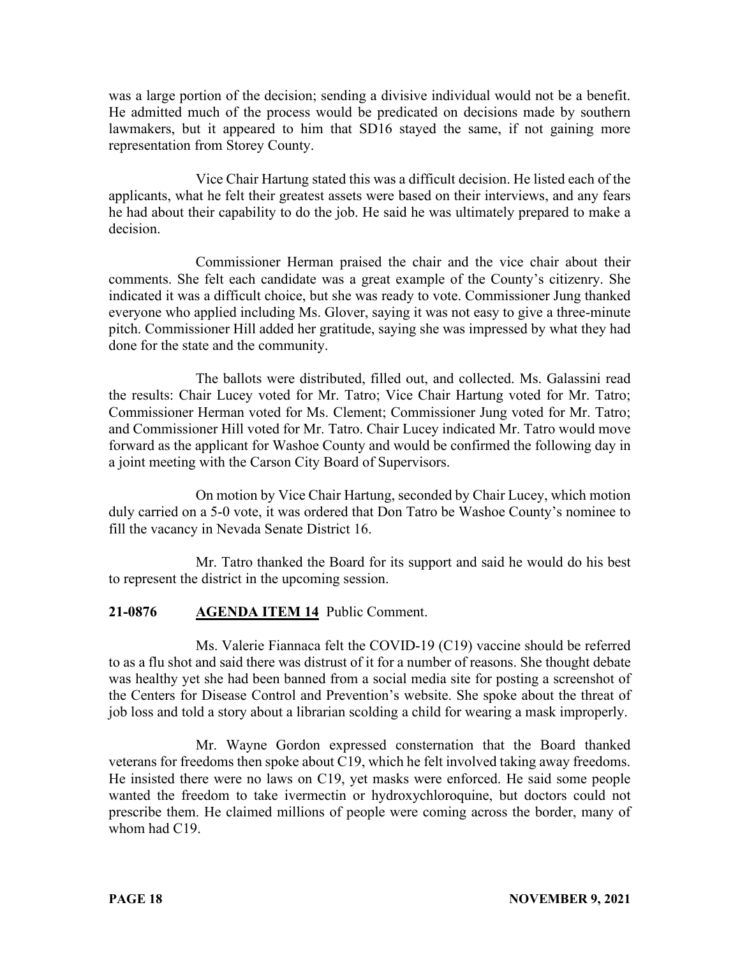was a large portion of the decision; sending a divisive individual would not be a benefit. He admitted much of the process would be predicated on decisions made by southern lawmakers, but it appeared to him that SD16 stayed the same, if not gaining more representation from Storey County.

Vice Chair Hartung stated this was a difficult decision. He listed each of the applicants, what he felt their greatest assets were based on their interviews, and any fears he had about their capability to do the job. He said he was ultimately prepared to make a decision.

Commissioner Herman praised the chair and the vice chair about their comments. She felt each candidate was a great example of the County's citizenry. She indicated it was a difficult choice, but she was ready to vote. Commissioner Jung thanked everyone who applied including Ms. Glover, saying it was not easy to give a three-minute pitch. Commissioner Hill added her gratitude, saying she was impressed by what they had done for the state and the community.

The ballots were distributed, filled out, and collected. Ms. Galassini read the results: Chair Lucey voted for Mr. Tatro; Vice Chair Hartung voted for Mr. Tatro; Commissioner Herman voted for Ms. Clement; Commissioner Jung voted for Mr. Tatro; and Commissioner Hill voted for Mr. Tatro. Chair Lucey indicated Mr. Tatro would move forward as the applicant for Washoe County and would be confirmed the following day in a joint meeting with the Carson City Board of Supervisors.

On motion by Vice Chair Hartung, seconded by Chair Lucey, which motion duly carried on a 5-0 vote, it was ordered that Don Tatro be Washoe County's nominee to fill the vacancy in Nevada Senate District 16.

Mr. Tatro thanked the Board for its support and said he would do his best to represent the district in the upcoming session.

# **21-0876 AGENDA ITEM 14** Public Comment.

Ms. Valerie Fiannaca felt the COVID-19 (C19) vaccine should be referred to as a flu shot and said there was distrust of it for a number of reasons. She thought debate was healthy yet she had been banned from a social media site for posting a screenshot of the Centers for Disease Control and Prevention's website. She spoke about the threat of job loss and told a story about a librarian scolding a child for wearing a mask improperly.

Mr. Wayne Gordon expressed consternation that the Board thanked veterans for freedoms then spoke about C19, which he felt involved taking away freedoms. He insisted there were no laws on C19, yet masks were enforced. He said some people wanted the freedom to take ivermectin or hydroxychloroquine, but doctors could not prescribe them. He claimed millions of people were coming across the border, many of whom had C19.